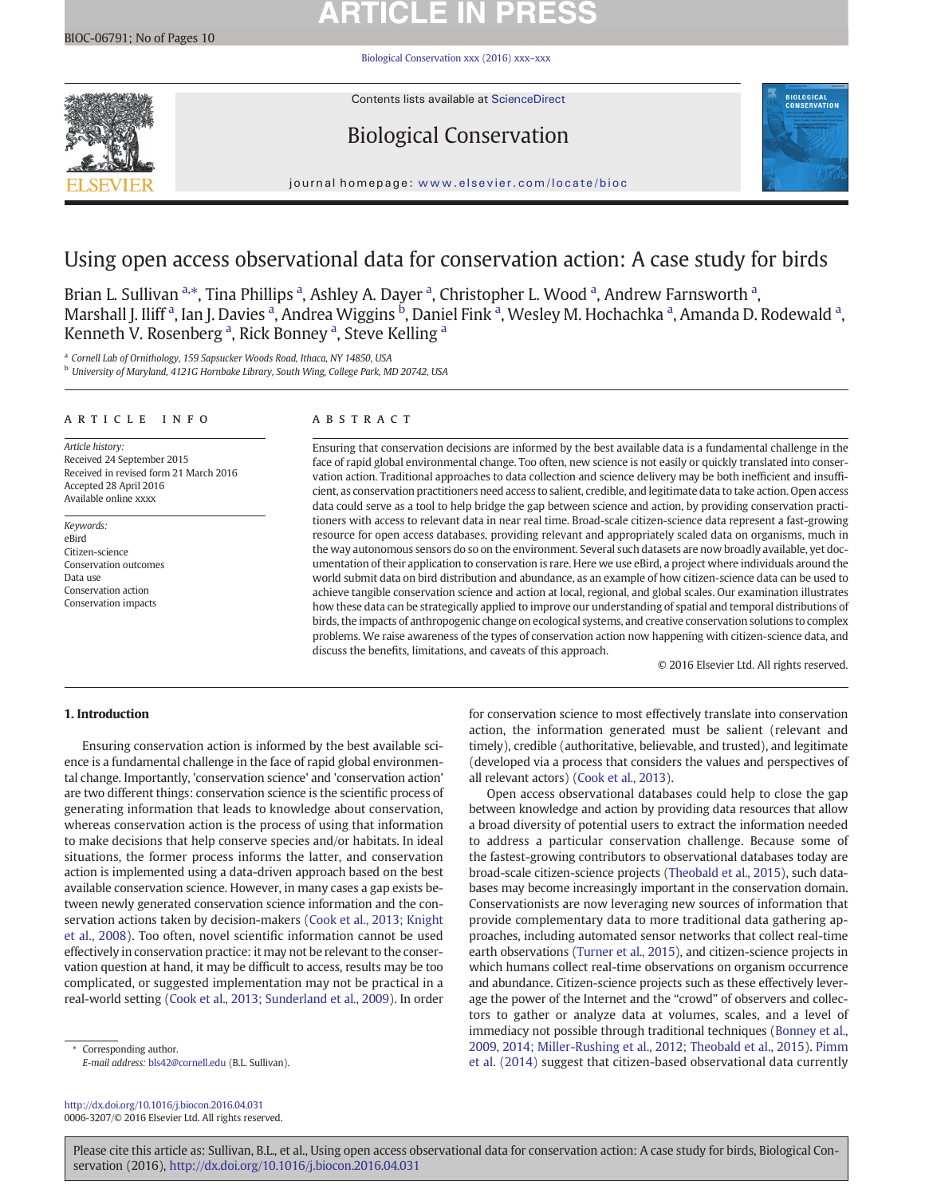# **ARTICLE IN PRESS**

Biological Conservation xxx (2016) xxx–xxx



Contents lists available at ScienceDirect

## Biological Conservation



journal homepage: www.elsevier.com/locate/bioc

## Using open access observational data for conservation action: A case study for birds

Brian L. Sullivan <sup>a,\*</sup>, Tina Phillips <sup>a</sup>, Ashley A. Dayer <sup>a</sup>, Christopher L. Wood <sup>a</sup>, Andrew Farnsworth <sup>a</sup>, Marshall J. Iliff <sup>a</sup>, Ian J. Davies <sup>a</sup>, Andrea Wiggins <sup>b</sup>, Daniel Fink <sup>a</sup>, Wesley M. Hochachka <sup>a</sup>, Amanda D. Rodewald <sup>a</sup>, Kenneth V. Rosenberg<sup>a</sup>, Rick Bonney<sup>a</sup>, Steve Kelling<sup>a</sup>

<sup>a</sup> Cornell Lab of Ornithology, 159 Sapsucker Woods Road, Ithaca, NY 14850, USA

<sup>b</sup> University of Maryland, 4121G Hornbake Library, South Wing, College Park, MD 20742, USA

#### article info abstract

Article history: Received 24 September 2015 Received in revised form 21 March 2016 Accepted 28 April 2016 Available online xxxx

Keywords: eBird Citizen-science Conservation outcomes Data use Conservation action Conservation impacts

Ensuring that conservation decisions are informed by the best available data is a fundamental challenge in the face of rapid global environmental change. Too often, new science is not easily or quickly translated into conservation action. Traditional approaches to data collection and science delivery may be both inefficient and insufficient, as conservation practitioners need access to salient, credible, and legitimate data to take action. Open access data could serve as a tool to help bridge the gap between science and action, by providing conservation practitioners with access to relevant data in near real time. Broad-scale citizen-science data represent a fast-growing resource for open access databases, providing relevant and appropriately scaled data on organisms, much in the way autonomous sensors do so on the environment. Several such datasets are now broadly available, yet documentation of their application to conservation is rare. Here we use eBird, a project where individuals around the world submit data on bird distribution and abundance, as an example of how citizen-science data can be used to achieve tangible conservation science and action at local, regional, and global scales. Our examination illustrates how these data can be strategically applied to improve our understanding of spatial and temporal distributions of birds, the impacts of anthropogenic change on ecological systems, and creative conservation solutions to complex problems. We raise awareness of the types of conservation action now happening with citizen-science data, and discuss the benefits, limitations, and caveats of this approach.

© 2016 Elsevier Ltd. All rights reserved.

### 1. Introduction

Ensuring conservation action is informed by the best available science is a fundamental challenge in the face of rapid global environmental change. Importantly, 'conservation science' and 'conservation action' are two different things: conservation science is the scientific process of generating information that leads to knowledge about conservation, whereas conservation action is the process of using that information to make decisions that help conserve species and/or habitats. In ideal situations, the former process informs the latter, and conservation action is implemented using a data-driven approach based on the best available conservation science. However, in many cases a gap exists between newly generated conservation science information and the conservation actions taken by decision-makers (Cook et al., 2013; Knight et al., 2008). Too often, novel scientific information cannot be used effectively in conservation practice: it may not be relevant to the conservation question at hand, it may be difficult to access, results may be too complicated, or suggested implementation may not be practical in a real-world setting (Cook et al., 2013; Sunderland et al., 2009). In order

⁎ Corresponding author. E-mail address: bls42@cornell.edu (B.L. Sullivan).

http://dx.doi.org/10.1016/j.biocon.2016.04.031 0006-3207/© 2016 Elsevier Ltd. All rights reserved. for conservation science to most effectively translate into conservation action, the information generated must be salient (relevant and timely), credible (authoritative, believable, and trusted), and legitimate (developed via a process that considers the values and perspectives of all relevant actors) (Cook et al., 2013).

Open access observational databases could help to close the gap between knowledge and action by providing data resources that allow a broad diversity of potential users to extract the information needed to address a particular conservation challenge. Because some of the fastest-growing contributors to observational databases today are broad-scale citizen-science projects (Theobald et al., 2015), such databases may become increasingly important in the conservation domain. Conservationists are now leveraging new sources of information that provide complementary data to more traditional data gathering approaches, including automated sensor networks that collect real-time earth observations (Turner et al., 2015), and citizen-science projects in which humans collect real-time observations on organism occurrence and abundance. Citizen-science projects such as these effectively leverage the power of the Internet and the "crowd" of observers and collectors to gather or analyze data at volumes, scales, and a level of immediacy not possible through traditional techniques (Bonney et al., 2009, 2014; Miller-Rushing et al., 2012; Theobald et al., 2015). Pimm et al. (2014) suggest that citizen-based observational data currently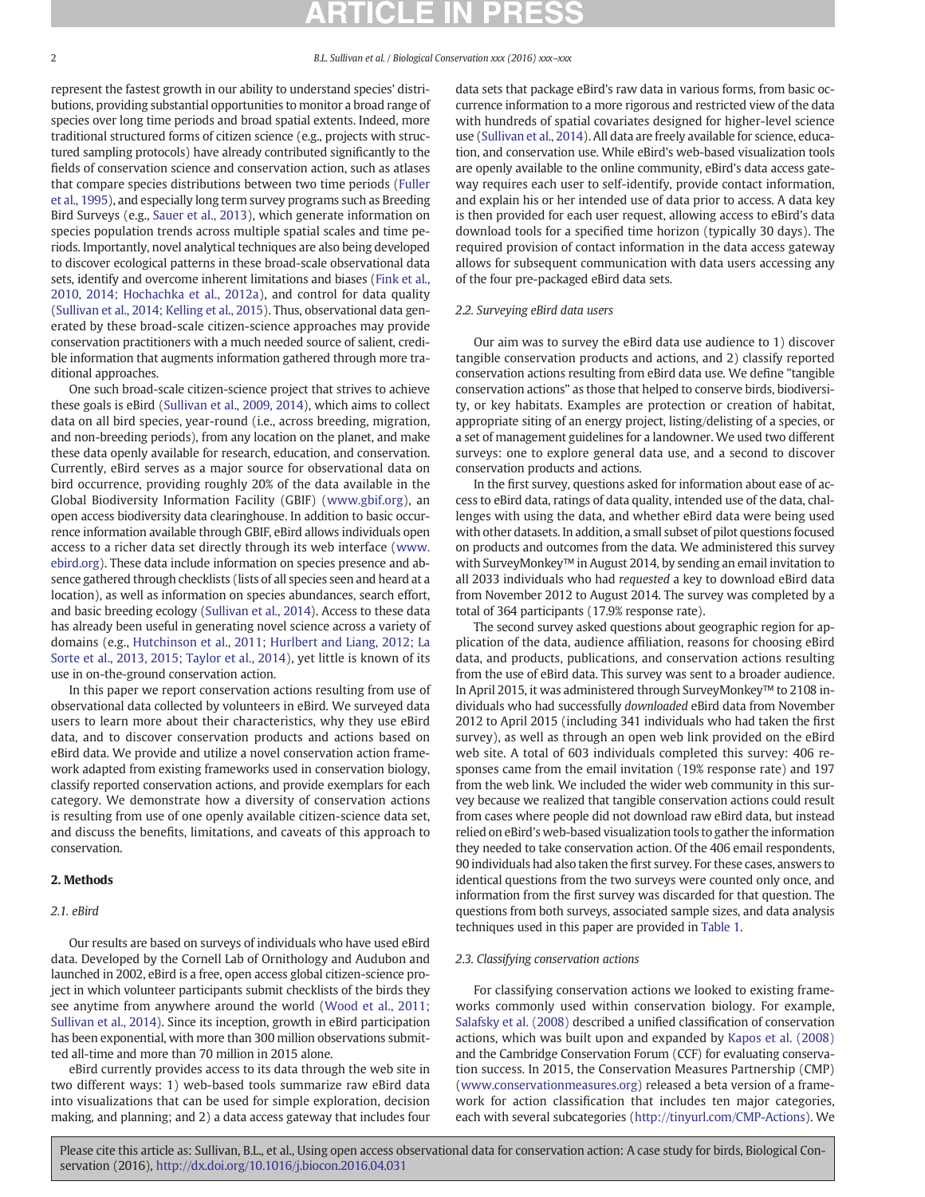represent the fastest growth in our ability to understand species' distributions, providing substantial opportunities to monitor a broad range of species over long time periods and broad spatial extents. Indeed, more traditional structured forms of citizen science (e.g., projects with structured sampling protocols) have already contributed significantly to the fields of conservation science and conservation action, such as atlases that compare species distributions between two time periods (Fuller et al., 1995), and especially long term survey programs such as Breeding Bird Surveys (e.g., Sauer et al., 2013), which generate information on species population trends across multiple spatial scales and time periods. Importantly, novel analytical techniques are also being developed to discover ecological patterns in these broad-scale observational data sets, identify and overcome inherent limitations and biases (Fink et al., 2010, 2014; Hochachka et al., 2012a), and control for data quality (Sullivan et al., 2014; Kelling et al., 2015). Thus, observational data generated by these broad-scale citizen-science approaches may provide conservation practitioners with a much needed source of salient, credible information that augments information gathered through more traditional approaches.

One such broad-scale citizen-science project that strives to achieve these goals is eBird (Sullivan et al., 2009, 2014), which aims to collect data on all bird species, year-round (i.e., across breeding, migration, and non-breeding periods), from any location on the planet, and make these data openly available for research, education, and conservation. Currently, eBird serves as a major source for observational data on bird occurrence, providing roughly 20% of the data available in the Global Biodiversity Information Facility (GBIF) (www.gbif.org), an open access biodiversity data clearinghouse. In addition to basic occurrence information available through GBIF, eBird allows individuals open access to a richer data set directly through its web interface (www. ebird.org). These data include information on species presence and absence gathered through checklists (lists of all species seen and heard at a location), as well as information on species abundances, search effort, and basic breeding ecology (Sullivan et al., 2014). Access to these data has already been useful in generating novel science across a variety of domains (e.g., Hutchinson et al., 2011; Hurlbert and Liang, 2012; La Sorte et al., 2013, 2015; Taylor et al., 2014), yet little is known of its use in on-the-ground conservation action.

In this paper we report conservation actions resulting from use of observational data collected by volunteers in eBird. We surveyed data users to learn more about their characteristics, why they use eBird data, and to discover conservation products and actions based on eBird data. We provide and utilize a novel conservation action framework adapted from existing frameworks used in conservation biology, classify reported conservation actions, and provide exemplars for each category. We demonstrate how a diversity of conservation actions is resulting from use of one openly available citizen-science data set, and discuss the benefits, limitations, and caveats of this approach to conservation.

### 2. Methods

#### 2.1. eBird

Our results are based on surveys of individuals who have used eBird data. Developed by the Cornell Lab of Ornithology and Audubon and launched in 2002, eBird is a free, open access global citizen-science project in which volunteer participants submit checklists of the birds they see anytime from anywhere around the world (Wood et al., 2011; Sullivan et al., 2014). Since its inception, growth in eBird participation has been exponential, with more than 300 million observations submitted all-time and more than 70 million in 2015 alone.

eBird currently provides access to its data through the web site in two different ways: 1) web-based tools summarize raw eBird data into visualizations that can be used for simple exploration, decision making, and planning; and 2) a data access gateway that includes four data sets that package eBird's raw data in various forms, from basic occurrence information to a more rigorous and restricted view of the data with hundreds of spatial covariates designed for higher-level science use (Sullivan et al., 2014). All data are freely available for science, education, and conservation use. While eBird's web-based visualization tools are openly available to the online community, eBird's data access gateway requires each user to self-identify, provide contact information, and explain his or her intended use of data prior to access. A data key is then provided for each user request, allowing access to eBird's data download tools for a specified time horizon (typically 30 days). The required provision of contact information in the data access gateway allows for subsequent communication with data users accessing any of the four pre-packaged eBird data sets.

#### 2.2. Surveying eBird data users

Our aim was to survey the eBird data use audience to 1) discover tangible conservation products and actions, and 2) classify reported conservation actions resulting from eBird data use. We define "tangible conservation actions" as those that helped to conserve birds, biodiversity, or key habitats. Examples are protection or creation of habitat, appropriate siting of an energy project, listing/delisting of a species, or a set of management guidelines for a landowner. We used two different surveys: one to explore general data use, and a second to discover conservation products and actions.

In the first survey, questions asked for information about ease of access to eBird data, ratings of data quality, intended use of the data, challenges with using the data, and whether eBird data were being used with other datasets. In addition, a small subset of pilot questions focused on products and outcomes from the data. We administered this survey with SurveyMonkey™ in August 2014, by sending an email invitation to all 2033 individuals who had requested a key to download eBird data from November 2012 to August 2014. The survey was completed by a total of 364 participants (17.9% response rate).

The second survey asked questions about geographic region for application of the data, audience affiliation, reasons for choosing eBird data, and products, publications, and conservation actions resulting from the use of eBird data. This survey was sent to a broader audience. In April 2015, it was administered through SurveyMonkey™ to 2108 individuals who had successfully downloaded eBird data from November 2012 to April 2015 (including 341 individuals who had taken the first survey), as well as through an open web link provided on the eBird web site. A total of 603 individuals completed this survey: 406 responses came from the email invitation (19% response rate) and 197 from the web link. We included the wider web community in this survey because we realized that tangible conservation actions could result from cases where people did not download raw eBird data, but instead relied on eBird's web-based visualization tools to gather the information they needed to take conservation action. Of the 406 email respondents, 90 individuals had also taken the first survey. For these cases, answers to identical questions from the two surveys were counted only once, and information from the first survey was discarded for that question. The questions from both surveys, associated sample sizes, and data analysis techniques used in this paper are provided in Table 1.

#### 2.3. Classifying conservation actions

For classifying conservation actions we looked to existing frameworks commonly used within conservation biology. For example, Salafsky et al. (2008) described a unified classification of conservation actions, which was built upon and expanded by Kapos et al. (2008) and the Cambridge Conservation Forum (CCF) for evaluating conservation success. In 2015, the Conservation Measures Partnership (CMP) (www.conservationmeasures.org) released a beta version of a framework for action classification that includes ten major categories, each with several subcategories (http://tinyurl.com/CMP-Actions). We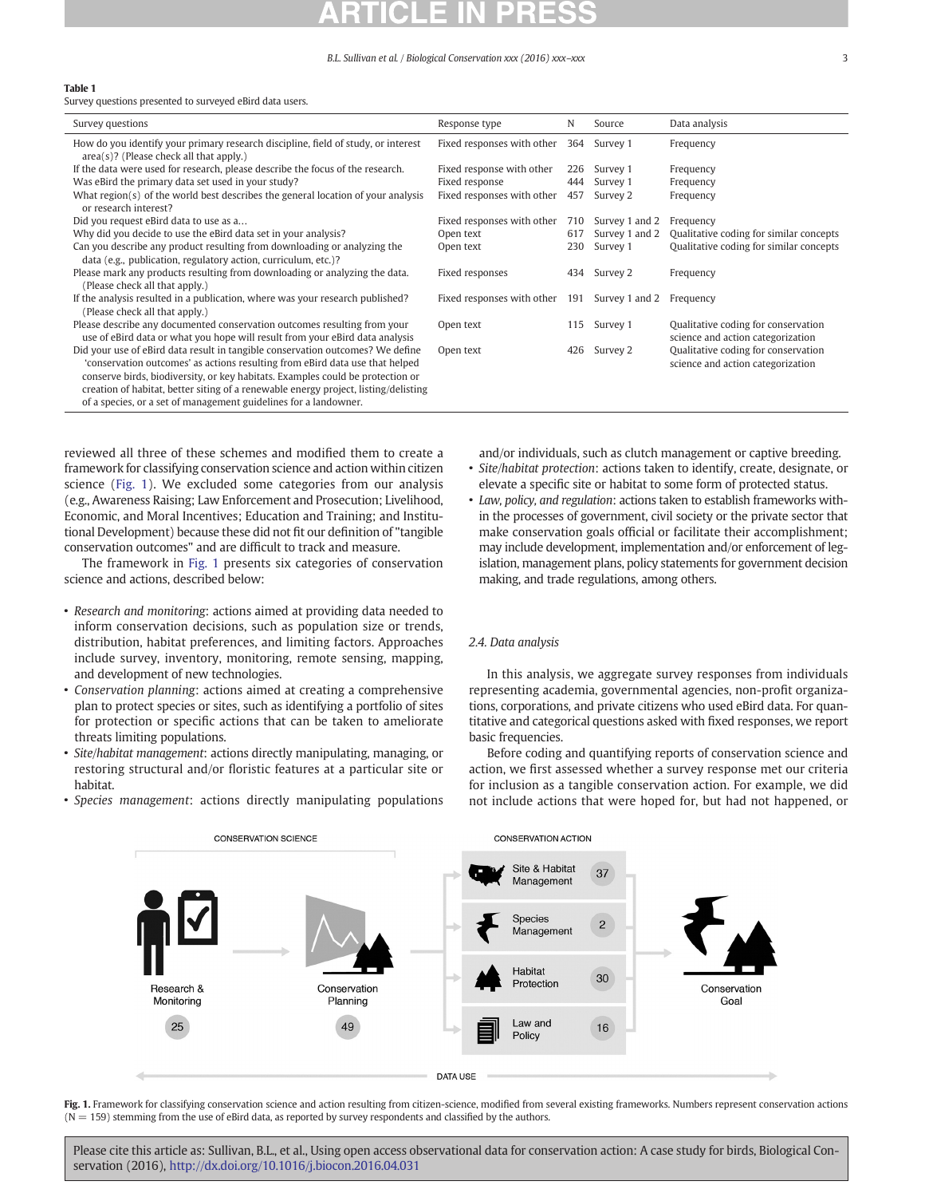#### Table 1

Survey questions presented to surveyed eBird data users.

| Survey questions                                                                                                                                                                                                                                                                                                                                                                                            | Response type                  | N   | Source         | Data analysis                                                            |
|-------------------------------------------------------------------------------------------------------------------------------------------------------------------------------------------------------------------------------------------------------------------------------------------------------------------------------------------------------------------------------------------------------------|--------------------------------|-----|----------------|--------------------------------------------------------------------------|
| How do you identify your primary research discipline, field of study, or interest<br>$area(s)$ ? (Please check all that apply.)                                                                                                                                                                                                                                                                             | Fixed responses with other     | 364 | Survey 1       | Frequency                                                                |
| If the data were used for research, please describe the focus of the research.                                                                                                                                                                                                                                                                                                                              | Fixed response with other      | 226 | Survey 1       | Frequency                                                                |
| Was eBird the primary data set used in your study?                                                                                                                                                                                                                                                                                                                                                          | Fixed response                 | 444 | Survey 1       | Frequency                                                                |
| What $region(s)$ of the world best describes the general location of your analysis<br>or research interest?                                                                                                                                                                                                                                                                                                 | Fixed responses with other     | 457 | Survey 2       | Frequency                                                                |
| Did you request eBird data to use as a                                                                                                                                                                                                                                                                                                                                                                      | Fixed responses with other     | 710 | Survey 1 and 2 | Frequency                                                                |
| Why did you decide to use the eBird data set in your analysis?                                                                                                                                                                                                                                                                                                                                              | Open text                      | 617 | Survey 1 and 2 | Qualitative coding for similar concepts                                  |
| Can you describe any product resulting from downloading or analyzing the<br>data (e.g., publication, regulatory action, curriculum, etc.)?                                                                                                                                                                                                                                                                  | Open text                      | 230 | Survey 1       | Qualitative coding for similar concepts                                  |
| Please mark any products resulting from downloading or analyzing the data.<br>(Please check all that apply.)                                                                                                                                                                                                                                                                                                | Fixed responses                | 434 | Survey 2       | Frequency                                                                |
| If the analysis resulted in a publication, where was your research published?<br>(Please check all that apply.)                                                                                                                                                                                                                                                                                             | Fixed responses with other 191 |     | Survey 1 and 2 | Frequency                                                                |
| Please describe any documented conservation outcomes resulting from your<br>use of eBird data or what you hope will result from your eBird data analysis                                                                                                                                                                                                                                                    | Open text                      | 115 | Survey 1       | Qualitative coding for conservation<br>science and action categorization |
| Did your use of eBird data result in tangible conservation outcomes? We define<br>'conservation outcomes' as actions resulting from eBird data use that helped<br>conserve birds, biodiversity, or key habitats. Examples could be protection or<br>creation of habitat, better siting of a renewable energy project, listing/delisting<br>of a species, or a set of management guidelines for a landowner. | Open text                      | 426 | Survey 2       | Qualitative coding for conservation<br>science and action categorization |

reviewed all three of these schemes and modified them to create a framework for classifying conservation science and action within citizen science (Fig. 1). We excluded some categories from our analysis (e.g., Awareness Raising; Law Enforcement and Prosecution; Livelihood, Economic, and Moral Incentives; Education and Training; and Institutional Development) because these did not fit our definition of "tangible conservation outcomes" and are difficult to track and measure.

The framework in Fig. 1 presents six categories of conservation science and actions, described below:

- Research and monitoring: actions aimed at providing data needed to inform conservation decisions, such as population size or trends, distribution, habitat preferences, and limiting factors. Approaches include survey, inventory, monitoring, remote sensing, mapping, and development of new technologies.
- Conservation planning: actions aimed at creating a comprehensive plan to protect species or sites, such as identifying a portfolio of sites for protection or specific actions that can be taken to ameliorate threats limiting populations.
- Site/habitat management: actions directly manipulating, managing, or restoring structural and/or floristic features at a particular site or habitat.
- Species management: actions directly manipulating populations

and/or individuals, such as clutch management or captive breeding. • Site/habitat protection: actions taken to identify, create, designate, or

elevate a specific site or habitat to some form of protected status. • Law, policy, and regulation: actions taken to establish frameworks within the processes of government, civil society or the private sector that make conservation goals official or facilitate their accomplishment; may include development, implementation and/or enforcement of legislation, management plans, policy statements for government decision making, and trade regulations, among others.

#### 2.4. Data analysis

In this analysis, we aggregate survey responses from individuals representing academia, governmental agencies, non-profit organizations, corporations, and private citizens who used eBird data. For quantitative and categorical questions asked with fixed responses, we report basic frequencies.

Before coding and quantifying reports of conservation science and action, we first assessed whether a survey response met our criteria for inclusion as a tangible conservation action. For example, we did not include actions that were hoped for, but had not happened, or



Fig. 1. Framework for classifying conservation science and action resulting from citizen-science, modified from several existing frameworks. Numbers represent conservation actions  $(N = 159)$  stemming from the use of eBird data, as reported by survey respondents and classified by the authors.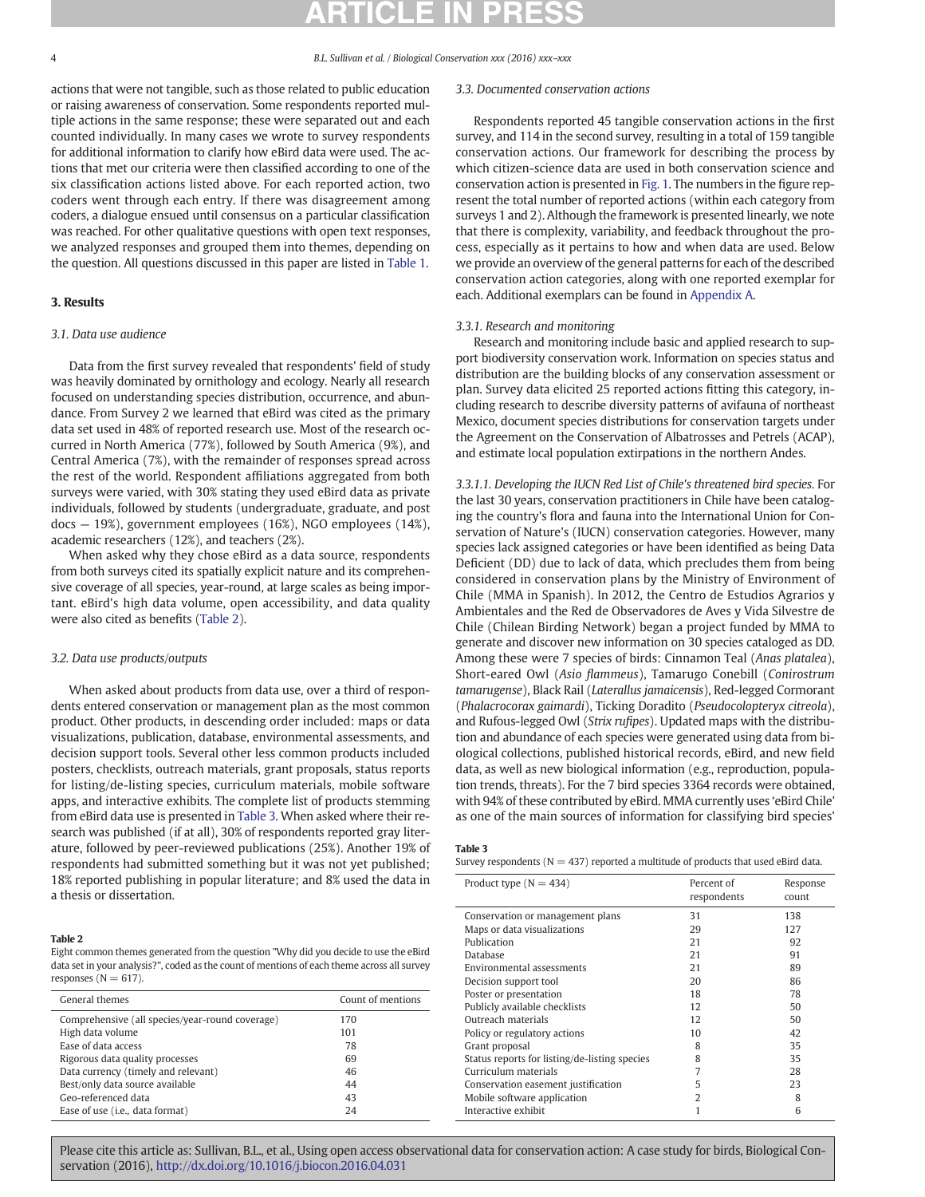actions that were not tangible, such as those related to public education or raising awareness of conservation. Some respondents reported multiple actions in the same response; these were separated out and each counted individually. In many cases we wrote to survey respondents for additional information to clarify how eBird data were used. The actions that met our criteria were then classified according to one of the six classification actions listed above. For each reported action, two coders went through each entry. If there was disagreement among coders, a dialogue ensued until consensus on a particular classification was reached. For other qualitative questions with open text responses, we analyzed responses and grouped them into themes, depending on the question. All questions discussed in this paper are listed in Table 1.

#### 3. Results

### 3.1. Data use audience

Data from the first survey revealed that respondents' field of study was heavily dominated by ornithology and ecology. Nearly all research focused on understanding species distribution, occurrence, and abundance. From Survey 2 we learned that eBird was cited as the primary data set used in 48% of reported research use. Most of the research occurred in North America (77%), followed by South America (9%), and Central America (7%), with the remainder of responses spread across the rest of the world. Respondent affiliations aggregated from both surveys were varied, with 30% stating they used eBird data as private individuals, followed by students (undergraduate, graduate, and post docs — 19%), government employees (16%), NGO employees (14%), academic researchers (12%), and teachers (2%).

When asked why they chose eBird as a data source, respondents from both surveys cited its spatially explicit nature and its comprehensive coverage of all species, year-round, at large scales as being important. eBird's high data volume, open accessibility, and data quality were also cited as benefits (Table 2).

### 3.2. Data use products/outputs

When asked about products from data use, over a third of respondents entered conservation or management plan as the most common product. Other products, in descending order included: maps or data visualizations, publication, database, environmental assessments, and decision support tools. Several other less common products included posters, checklists, outreach materials, grant proposals, status reports for listing/de-listing species, curriculum materials, mobile software apps, and interactive exhibits. The complete list of products stemming from eBird data use is presented in Table 3. When asked where their research was published (if at all), 30% of respondents reported gray literature, followed by peer-reviewed publications (25%). Another 19% of respondents had submitted something but it was not yet published; 18% reported publishing in popular literature; and 8% used the data in a thesis or dissertation.

#### Table 2

### Eight common themes generated from the question "Why did you decide to use the eBird data set in your analysis?", coded as the count of mentions of each theme across all survey responses ( $N = 617$ ).

| General themes                                  | Count of mentions |
|-------------------------------------------------|-------------------|
| Comprehensive (all species/year-round coverage) | 170               |
| High data volume                                | 101               |
| Ease of data access                             | 78                |
| Rigorous data quality processes                 | 69                |
| Data currency (timely and relevant)             | 46                |
| Best/only data source available                 | 44                |
| Geo-referenced data                             | 43                |
| Ease of use ( <i>i.e.</i> , data format)        | 24                |
|                                                 |                   |

### 3.3. Documented conservation actions

Respondents reported 45 tangible conservation actions in the first survey, and 114 in the second survey, resulting in a total of 159 tangible conservation actions. Our framework for describing the process by which citizen-science data are used in both conservation science and conservation action is presented in Fig. 1. The numbers in the figure represent the total number of reported actions (within each category from surveys 1 and 2). Although the framework is presented linearly, we note that there is complexity, variability, and feedback throughout the process, especially as it pertains to how and when data are used. Below we provide an overview of the general patterns for each of the described conservation action categories, along with one reported exemplar for each. Additional exemplars can be found in Appendix A.

### 3.3.1. Research and monitoring

Research and monitoring include basic and applied research to support biodiversity conservation work. Information on species status and distribution are the building blocks of any conservation assessment or plan. Survey data elicited 25 reported actions fitting this category, including research to describe diversity patterns of avifauna of northeast Mexico, document species distributions for conservation targets under the Agreement on the Conservation of Albatrosses and Petrels (ACAP), and estimate local population extirpations in the northern Andes.

3.3.1.1. Developing the IUCN Red List of Chile's threatened bird species. For the last 30 years, conservation practitioners in Chile have been cataloging the country's flora and fauna into the International Union for Conservation of Nature's (IUCN) conservation categories. However, many species lack assigned categories or have been identified as being Data Deficient (DD) due to lack of data, which precludes them from being considered in conservation plans by the Ministry of Environment of Chile (MMA in Spanish). In 2012, the Centro de Estudios Agrarios y Ambientales and the Red de Observadores de Aves y Vida Silvestre de Chile (Chilean Birding Network) began a project funded by MMA to generate and discover new information on 30 species cataloged as DD. Among these were 7 species of birds: Cinnamon Teal (Anas platalea), Short-eared Owl (Asio flammeus), Tamarugo Conebill (Conirostrum tamarugense), Black Rail (Laterallus jamaicensis), Red-legged Cormorant (Phalacrocorax gaimardi), Ticking Doradito (Pseudocolopteryx citreola), and Rufous-legged Owl (Strix rufipes). Updated maps with the distribution and abundance of each species were generated using data from biological collections, published historical records, eBird, and new field data, as well as new biological information (e.g., reproduction, population trends, threats). For the 7 bird species 3364 records were obtained, with 94% of these contributed by eBird. MMA currently uses 'eBird Chile' as one of the main sources of information for classifying bird species'

#### Table 3

Survey respondents ( $N = 437$ ) reported a multitude of products that used eBird data.

| Product type ( $N = 434$ )                    | Percent of<br>respondents | Response<br>count |
|-----------------------------------------------|---------------------------|-------------------|
| Conservation or management plans              | 31                        | 138               |
| Maps or data visualizations                   | 29                        | 127               |
| Publication                                   | 21                        | 92                |
| Database                                      | 21                        | 91                |
| Environmental assessments                     | 21                        | 89                |
| Decision support tool                         | 20                        | 86                |
| Poster or presentation                        | 18                        | 78                |
| Publicly available checklists                 | 12                        | 50                |
| Outreach materials                            | 12                        | 50                |
| Policy or regulatory actions                  | 10                        | 42                |
| Grant proposal                                | 8                         | 35                |
| Status reports for listing/de-listing species | 8                         | 35                |
| Curriculum materials                          | 7                         | 28                |
| Conservation easement justification           | 5                         | 23                |
| Mobile software application                   | 2                         | 8                 |
| Interactive exhibit                           |                           | 6                 |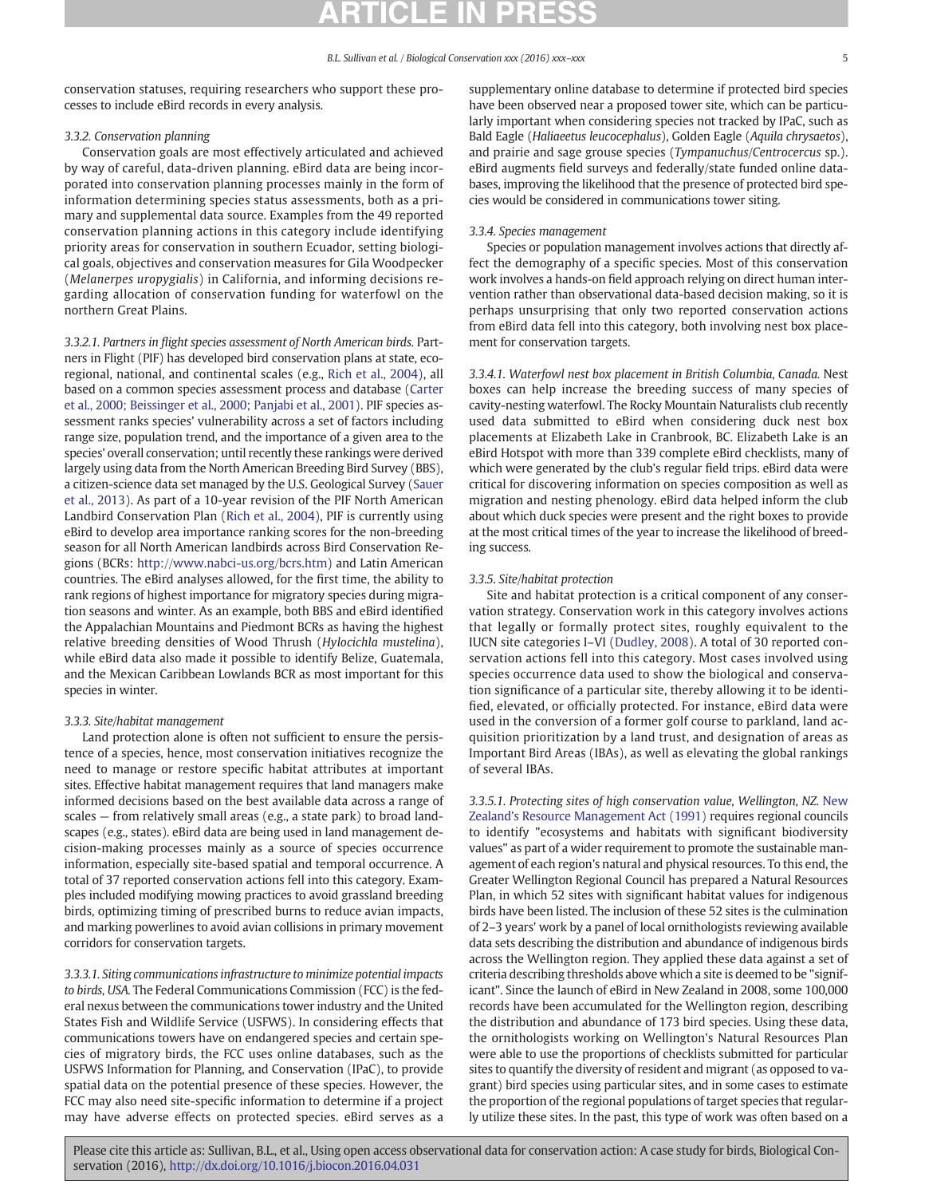conservation statuses, requiring researchers who support these processes to include eBird records in every analysis.

#### 3.3.2. Conservation planning

Conservation goals are most effectively articulated and achieved by way of careful, data-driven planning. eBird data are being incorporated into conservation planning processes mainly in the form of information determining species status assessments, both as a primary and supplemental data source. Examples from the 49 reported conservation planning actions in this category include identifying priority areas for conservation in southern Ecuador, setting biological goals, objectives and conservation measures for Gila Woodpecker (Melanerpes uropygialis) in California, and informing decisions regarding allocation of conservation funding for waterfowl on the northern Great Plains.

3.3.2.1. Partners in flight species assessment of North American birds. Partners in Flight (PIF) has developed bird conservation plans at state, ecoregional, national, and continental scales (e.g., Rich et al., 2004), all based on a common species assessment process and database (Carter et al., 2000; Beissinger et al., 2000; Panjabi et al., 2001). PIF species assessment ranks species' vulnerability across a set of factors including range size, population trend, and the importance of a given area to the species' overall conservation; until recently these rankings were derived largely using data from the North American Breeding Bird Survey (BBS), a citizen-science data set managed by the U.S. Geological Survey (Sauer et al., 2013). As part of a 10-year revision of the PIF North American Landbird Conservation Plan (Rich et al., 2004), PIF is currently using eBird to develop area importance ranking scores for the non-breeding season for all North American landbirds across Bird Conservation Regions (BCRs: http://www.nabci-us.org/bcrs.htm) and Latin American countries. The eBird analyses allowed, for the first time, the ability to rank regions of highest importance for migratory species during migration seasons and winter. As an example, both BBS and eBird identified the Appalachian Mountains and Piedmont BCRs as having the highest relative breeding densities of Wood Thrush (Hylocichla mustelina), while eBird data also made it possible to identify Belize, Guatemala, and the Mexican Caribbean Lowlands BCR as most important for this species in winter.

### 3.3.3. Site/habitat management

Land protection alone is often not sufficient to ensure the persistence of a species, hence, most conservation initiatives recognize the need to manage or restore specific habitat attributes at important sites. Effective habitat management requires that land managers make informed decisions based on the best available data across a range of scales — from relatively small areas (e.g., a state park) to broad landscapes (e.g., states). eBird data are being used in land management decision-making processes mainly as a source of species occurrence information, especially site-based spatial and temporal occurrence. A total of 37 reported conservation actions fell into this category. Examples included modifying mowing practices to avoid grassland breeding birds, optimizing timing of prescribed burns to reduce avian impacts, and marking powerlines to avoid avian collisions in primary movement corridors for conservation targets.

3.3.3.1. Siting communications infrastructure to minimize potential impacts to birds, USA. The Federal Communications Commission (FCC) is the federal nexus between the communications tower industry and the United States Fish and Wildlife Service (USFWS). In considering effects that communications towers have on endangered species and certain species of migratory birds, the FCC uses online databases, such as the USFWS Information for Planning, and Conservation (IPaC), to provide spatial data on the potential presence of these species. However, the FCC may also need site-specific information to determine if a project may have adverse effects on protected species. eBird serves as a supplementary online database to determine if protected bird species have been observed near a proposed tower site, which can be particularly important when considering species not tracked by IPaC, such as Bald Eagle (Haliaeetus leucocephalus), Golden Eagle (Aquila chrysaetos), and prairie and sage grouse species (Tympanuchus/Centrocercus sp.). eBird augments field surveys and federally/state funded online databases, improving the likelihood that the presence of protected bird species would be considered in communications tower siting.

#### 3.3.4. Species management

Species or population management involves actions that directly affect the demography of a specific species. Most of this conservation work involves a hands-on field approach relying on direct human intervention rather than observational data-based decision making, so it is perhaps unsurprising that only two reported conservation actions from eBird data fell into this category, both involving nest box placement for conservation targets.

3.3.4.1. Waterfowl nest box placement in British Columbia, Canada. Nest boxes can help increase the breeding success of many species of cavity-nesting waterfowl. The Rocky Mountain Naturalists club recently used data submitted to eBird when considering duck nest box placements at Elizabeth Lake in Cranbrook, BC. Elizabeth Lake is an eBird Hotspot with more than 339 complete eBird checklists, many of which were generated by the club's regular field trips. eBird data were critical for discovering information on species composition as well as migration and nesting phenology. eBird data helped inform the club about which duck species were present and the right boxes to provide at the most critical times of the year to increase the likelihood of breeding success.

#### 3.3.5. Site/habitat protection

Site and habitat protection is a critical component of any conservation strategy. Conservation work in this category involves actions that legally or formally protect sites, roughly equivalent to the IUCN site categories I–VI (Dudley, 2008). A total of 30 reported conservation actions fell into this category. Most cases involved using species occurrence data used to show the biological and conservation significance of a particular site, thereby allowing it to be identified, elevated, or officially protected. For instance, eBird data were used in the conversion of a former golf course to parkland, land acquisition prioritization by a land trust, and designation of areas as Important Bird Areas (IBAs), as well as elevating the global rankings of several IBAs.

3.3.5.1. Protecting sites of high conservation value, Wellington, NZ. New Zealand's Resource Management Act (1991) requires regional councils to identify "ecosystems and habitats with significant biodiversity values" as part of a wider requirement to promote the sustainable management of each region's natural and physical resources. To this end, the Greater Wellington Regional Council has prepared a Natural Resources Plan, in which 52 sites with significant habitat values for indigenous birds have been listed. The inclusion of these 52 sites is the culmination of 2–3 years' work by a panel of local ornithologists reviewing available data sets describing the distribution and abundance of indigenous birds across the Wellington region. They applied these data against a set of criteria describing thresholds above which a site is deemed to be "significant". Since the launch of eBird in New Zealand in 2008, some 100,000 records have been accumulated for the Wellington region, describing the distribution and abundance of 173 bird species. Using these data, the ornithologists working on Wellington's Natural Resources Plan were able to use the proportions of checklists submitted for particular sites to quantify the diversity of resident and migrant (as opposed to vagrant) bird species using particular sites, and in some cases to estimate the proportion of the regional populations of target species that regularly utilize these sites. In the past, this type of work was often based on a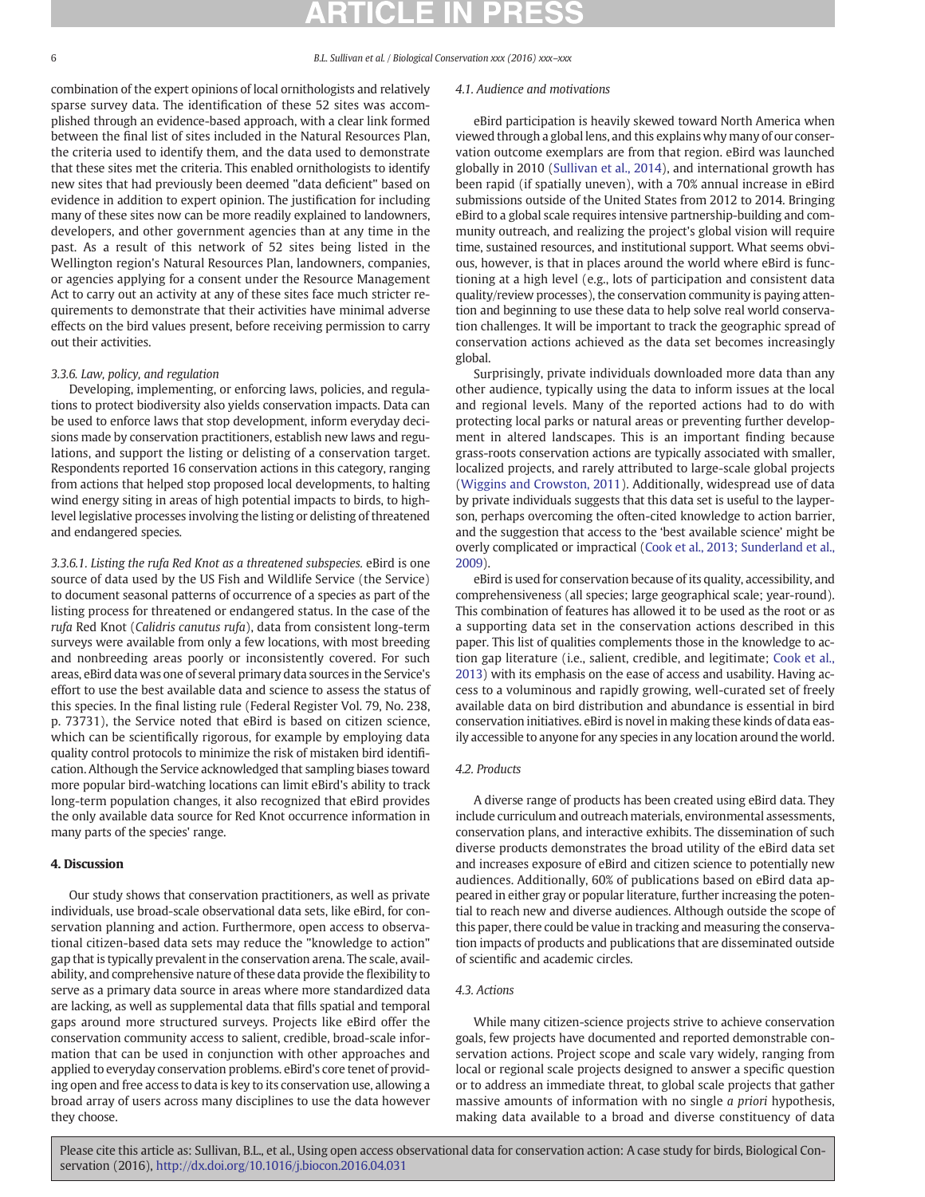combination of the expert opinions of local ornithologists and relatively sparse survey data. The identification of these 52 sites was accomplished through an evidence-based approach, with a clear link formed between the final list of sites included in the Natural Resources Plan, the criteria used to identify them, and the data used to demonstrate that these sites met the criteria. This enabled ornithologists to identify new sites that had previously been deemed "data deficient" based on evidence in addition to expert opinion. The justification for including many of these sites now can be more readily explained to landowners, developers, and other government agencies than at any time in the past. As a result of this network of 52 sites being listed in the Wellington region's Natural Resources Plan, landowners, companies, or agencies applying for a consent under the Resource Management Act to carry out an activity at any of these sites face much stricter requirements to demonstrate that their activities have minimal adverse effects on the bird values present, before receiving permission to carry out their activities.

### 3.3.6. Law, policy, and regulation

Developing, implementing, or enforcing laws, policies, and regulations to protect biodiversity also yields conservation impacts. Data can be used to enforce laws that stop development, inform everyday decisions made by conservation practitioners, establish new laws and regulations, and support the listing or delisting of a conservation target. Respondents reported 16 conservation actions in this category, ranging from actions that helped stop proposed local developments, to halting wind energy siting in areas of high potential impacts to birds, to highlevel legislative processes involving the listing or delisting of threatened and endangered species.

3.3.6.1. Listing the rufa Red Knot as a threatened subspecies. eBird is one source of data used by the US Fish and Wildlife Service (the Service) to document seasonal patterns of occurrence of a species as part of the listing process for threatened or endangered status. In the case of the rufa Red Knot (Calidris canutus rufa), data from consistent long-term surveys were available from only a few locations, with most breeding and nonbreeding areas poorly or inconsistently covered. For such areas, eBird data was one of several primary data sources in the Service's effort to use the best available data and science to assess the status of this species. In the final listing rule (Federal Register Vol. 79, No. 238, p. 73731), the Service noted that eBird is based on citizen science, which can be scientifically rigorous, for example by employing data quality control protocols to minimize the risk of mistaken bird identification. Although the Service acknowledged that sampling biases toward more popular bird-watching locations can limit eBird's ability to track long-term population changes, it also recognized that eBird provides the only available data source for Red Knot occurrence information in many parts of the species' range.

#### 4. Discussion

Our study shows that conservation practitioners, as well as private individuals, use broad-scale observational data sets, like eBird, for conservation planning and action. Furthermore, open access to observational citizen-based data sets may reduce the "knowledge to action" gap that is typically prevalent in the conservation arena. The scale, availability, and comprehensive nature of these data provide the flexibility to serve as a primary data source in areas where more standardized data are lacking, as well as supplemental data that fills spatial and temporal gaps around more structured surveys. Projects like eBird offer the conservation community access to salient, credible, broad-scale information that can be used in conjunction with other approaches and applied to everyday conservation problems. eBird's core tenet of providing open and free access to data is key to its conservation use, allowing a broad array of users across many disciplines to use the data however they choose.

#### 4.1. Audience and motivations

eBird participation is heavily skewed toward North America when viewed through a global lens, and this explains why many of our conservation outcome exemplars are from that region. eBird was launched globally in 2010 (Sullivan et al., 2014), and international growth has been rapid (if spatially uneven), with a 70% annual increase in eBird submissions outside of the United States from 2012 to 2014. Bringing eBird to a global scale requires intensive partnership-building and community outreach, and realizing the project's global vision will require time, sustained resources, and institutional support. What seems obvious, however, is that in places around the world where eBird is functioning at a high level (e.g., lots of participation and consistent data quality/review processes), the conservation community is paying attention and beginning to use these data to help solve real world conservation challenges. It will be important to track the geographic spread of conservation actions achieved as the data set becomes increasingly global.

Surprisingly, private individuals downloaded more data than any other audience, typically using the data to inform issues at the local and regional levels. Many of the reported actions had to do with protecting local parks or natural areas or preventing further development in altered landscapes. This is an important finding because grass-roots conservation actions are typically associated with smaller, localized projects, and rarely attributed to large-scale global projects (Wiggins and Crowston, 2011). Additionally, widespread use of data by private individuals suggests that this data set is useful to the layperson, perhaps overcoming the often-cited knowledge to action barrier, and the suggestion that access to the 'best available science' might be overly complicated or impractical (Cook et al., 2013; Sunderland et al., 2009).

eBird is used for conservation because of its quality, accessibility, and comprehensiveness (all species; large geographical scale; year-round). This combination of features has allowed it to be used as the root or as a supporting data set in the conservation actions described in this paper. This list of qualities complements those in the knowledge to action gap literature (i.e., salient, credible, and legitimate; Cook et al., 2013) with its emphasis on the ease of access and usability. Having access to a voluminous and rapidly growing, well-curated set of freely available data on bird distribution and abundance is essential in bird conservation initiatives. eBird is novel in making these kinds of data easily accessible to anyone for any species in any location around the world.

#### 4.2. Products

A diverse range of products has been created using eBird data. They include curriculum and outreach materials, environmental assessments, conservation plans, and interactive exhibits. The dissemination of such diverse products demonstrates the broad utility of the eBird data set and increases exposure of eBird and citizen science to potentially new audiences. Additionally, 60% of publications based on eBird data appeared in either gray or popular literature, further increasing the potential to reach new and diverse audiences. Although outside the scope of this paper, there could be value in tracking and measuring the conservation impacts of products and publications that are disseminated outside of scientific and academic circles.

### 4.3. Actions

While many citizen-science projects strive to achieve conservation goals, few projects have documented and reported demonstrable conservation actions. Project scope and scale vary widely, ranging from local or regional scale projects designed to answer a specific question or to address an immediate threat, to global scale projects that gather massive amounts of information with no single a priori hypothesis, making data available to a broad and diverse constituency of data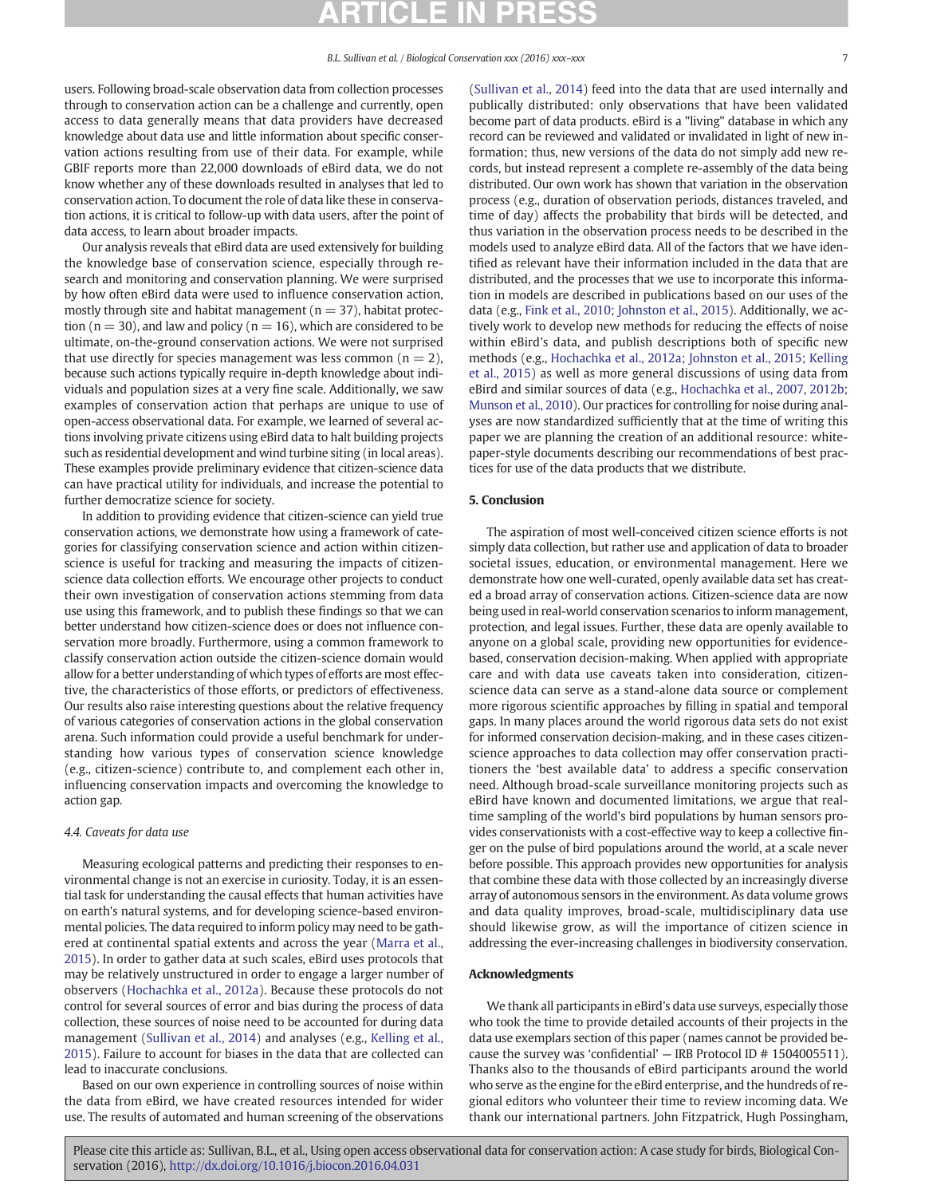users. Following broad-scale observation data from collection processes through to conservation action can be a challenge and currently, open access to data generally means that data providers have decreased knowledge about data use and little information about specific conservation actions resulting from use of their data. For example, while GBIF reports more than 22,000 downloads of eBird data, we do not know whether any of these downloads resulted in analyses that led to conservation action. To document the role of data like these in conservation actions, it is critical to follow-up with data users, after the point of data access, to learn about broader impacts.

Our analysis reveals that eBird data are used extensively for building the knowledge base of conservation science, especially through research and monitoring and conservation planning. We were surprised by how often eBird data were used to influence conservation action, mostly through site and habitat management ( $n = 37$ ), habitat protection ( $n = 30$ ), and law and policy ( $n = 16$ ), which are considered to be ultimate, on-the-ground conservation actions. We were not surprised that use directly for species management was less common  $(n = 2)$ , because such actions typically require in-depth knowledge about individuals and population sizes at a very fine scale. Additionally, we saw examples of conservation action that perhaps are unique to use of open-access observational data. For example, we learned of several actions involving private citizens using eBird data to halt building projects such as residential development and wind turbine siting (in local areas). These examples provide preliminary evidence that citizen-science data can have practical utility for individuals, and increase the potential to further democratize science for society.

In addition to providing evidence that citizen-science can yield true conservation actions, we demonstrate how using a framework of categories for classifying conservation science and action within citizenscience is useful for tracking and measuring the impacts of citizenscience data collection efforts. We encourage other projects to conduct their own investigation of conservation actions stemming from data use using this framework, and to publish these findings so that we can better understand how citizen-science does or does not influence conservation more broadly. Furthermore, using a common framework to classify conservation action outside the citizen-science domain would allow for a better understanding of which types of efforts are most effective, the characteristics of those efforts, or predictors of effectiveness. Our results also raise interesting questions about the relative frequency of various categories of conservation actions in the global conservation arena. Such information could provide a useful benchmark for understanding how various types of conservation science knowledge (e.g., citizen-science) contribute to, and complement each other in, influencing conservation impacts and overcoming the knowledge to action gap.

#### 4.4. Caveats for data use

Measuring ecological patterns and predicting their responses to environmental change is not an exercise in curiosity. Today, it is an essential task for understanding the causal effects that human activities have on earth's natural systems, and for developing science-based environmental policies. The data required to inform policy may need to be gathered at continental spatial extents and across the year (Marra et al., 2015). In order to gather data at such scales, eBird uses protocols that may be relatively unstructured in order to engage a larger number of observers (Hochachka et al., 2012a). Because these protocols do not control for several sources of error and bias during the process of data collection, these sources of noise need to be accounted for during data management (Sullivan et al., 2014) and analyses (e.g., Kelling et al., 2015). Failure to account for biases in the data that are collected can lead to inaccurate conclusions.

Based on our own experience in controlling sources of noise within the data from eBird, we have created resources intended for wider use. The results of automated and human screening of the observations (Sullivan et al., 2014) feed into the data that are used internally and publically distributed: only observations that have been validated become part of data products. eBird is a "living" database in which any record can be reviewed and validated or invalidated in light of new information; thus, new versions of the data do not simply add new records, but instead represent a complete re-assembly of the data being distributed. Our own work has shown that variation in the observation process (e.g., duration of observation periods, distances traveled, and time of day) affects the probability that birds will be detected, and thus variation in the observation process needs to be described in the models used to analyze eBird data. All of the factors that we have identified as relevant have their information included in the data that are distributed, and the processes that we use to incorporate this information in models are described in publications based on our uses of the data (e.g., Fink et al., 2010; Johnston et al., 2015). Additionally, we actively work to develop new methods for reducing the effects of noise within eBird's data, and publish descriptions both of specific new methods (e.g., Hochachka et al., 2012a; Johnston et al., 2015; Kelling et al., 2015) as well as more general discussions of using data from eBird and similar sources of data (e.g., Hochachka et al., 2007, 2012b; Munson et al., 2010). Our practices for controlling for noise during analyses are now standardized sufficiently that at the time of writing this paper we are planning the creation of an additional resource: whitepaper-style documents describing our recommendations of best practices for use of the data products that we distribute.

### 5. Conclusion

The aspiration of most well-conceived citizen science efforts is not simply data collection, but rather use and application of data to broader societal issues, education, or environmental management. Here we demonstrate how one well-curated, openly available data set has created a broad array of conservation actions. Citizen-science data are now being used in real-world conservation scenarios to inform management, protection, and legal issues. Further, these data are openly available to anyone on a global scale, providing new opportunities for evidencebased, conservation decision-making. When applied with appropriate care and with data use caveats taken into consideration, citizenscience data can serve as a stand-alone data source or complement more rigorous scientific approaches by filling in spatial and temporal gaps. In many places around the world rigorous data sets do not exist for informed conservation decision-making, and in these cases citizenscience approaches to data collection may offer conservation practitioners the 'best available data' to address a specific conservation need. Although broad-scale surveillance monitoring projects such as eBird have known and documented limitations, we argue that realtime sampling of the world's bird populations by human sensors provides conservationists with a cost-effective way to keep a collective finger on the pulse of bird populations around the world, at a scale never before possible. This approach provides new opportunities for analysis that combine these data with those collected by an increasingly diverse array of autonomous sensors in the environment. As data volume grows and data quality improves, broad-scale, multidisciplinary data use should likewise grow, as will the importance of citizen science in addressing the ever-increasing challenges in biodiversity conservation.

#### Acknowledgments

We thank all participants in eBird's data use surveys, especially those who took the time to provide detailed accounts of their projects in the data use exemplars section of this paper (names cannot be provided because the survey was 'confidential' — IRB Protocol ID # 1504005511). Thanks also to the thousands of eBird participants around the world who serve as the engine for the eBird enterprise, and the hundreds of regional editors who volunteer their time to review incoming data. We thank our international partners. John Fitzpatrick, Hugh Possingham,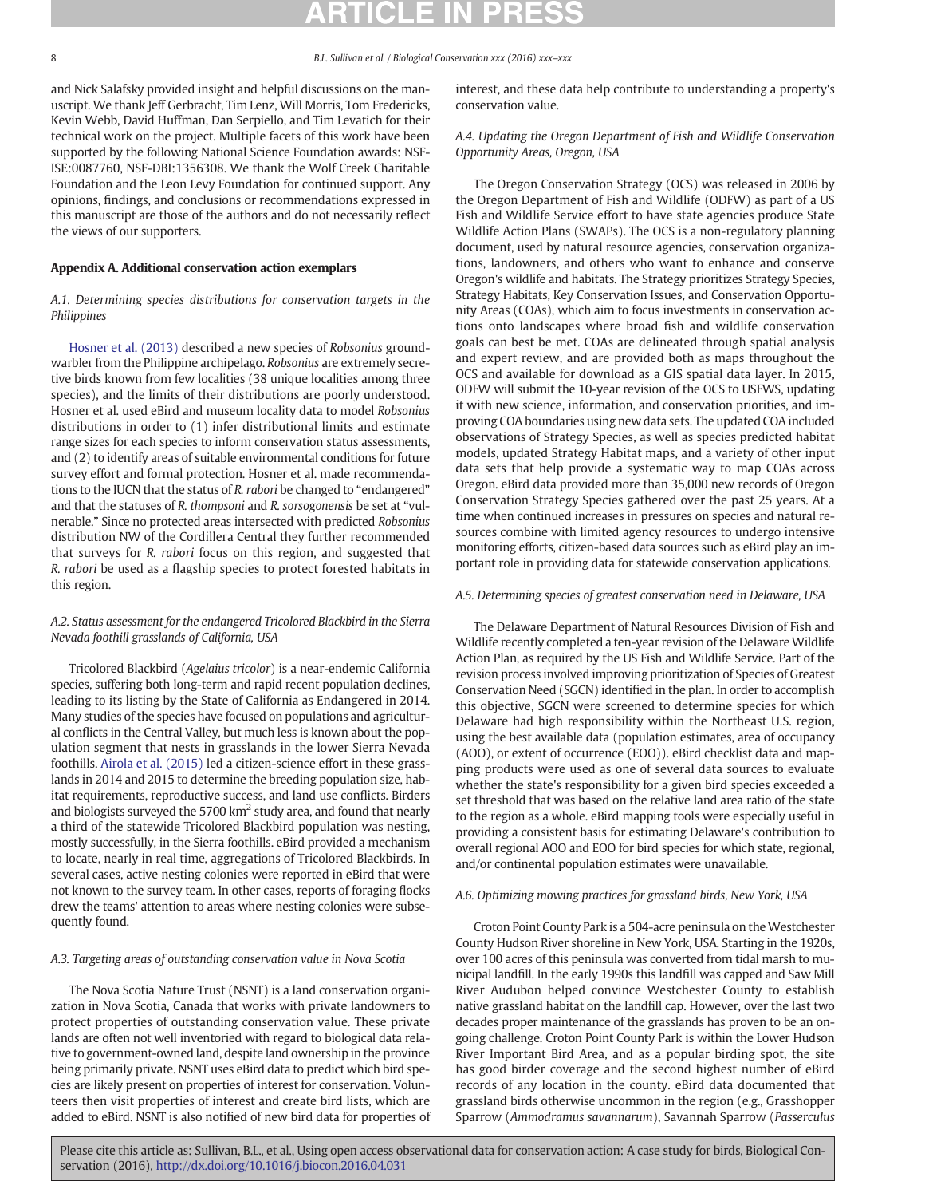and Nick Salafsky provided insight and helpful discussions on the manuscript. We thank Jeff Gerbracht, Tim Lenz, Will Morris, Tom Fredericks, Kevin Webb, David Huffman, Dan Serpiello, and Tim Levatich for their technical work on the project. Multiple facets of this work have been supported by the following National Science Foundation awards: NSF-ISE:0087760, NSF-DBI:1356308. We thank the Wolf Creek Charitable Foundation and the Leon Levy Foundation for continued support. Any opinions, findings, and conclusions or recommendations expressed in this manuscript are those of the authors and do not necessarily reflect the views of our supporters.

### Appendix A. Additional conservation action exemplars

### A.1. Determining species distributions for conservation targets in the Philippines

Hosner et al. (2013) described a new species of Robsonius groundwarbler from the Philippine archipelago. Robsonius are extremely secretive birds known from few localities (38 unique localities among three species), and the limits of their distributions are poorly understood. Hosner et al. used eBird and museum locality data to model Robsonius distributions in order to (1) infer distributional limits and estimate range sizes for each species to inform conservation status assessments, and (2) to identify areas of suitable environmental conditions for future survey effort and formal protection. Hosner et al. made recommendations to the IUCN that the status of R. rabori be changed to "endangered" and that the statuses of R. thompsoni and R. sorsogonensis be set at "vulnerable." Since no protected areas intersected with predicted Robsonius distribution NW of the Cordillera Central they further recommended that surveys for R. rabori focus on this region, and suggested that R. rabori be used as a flagship species to protect forested habitats in this region.

### A.2. Status assessment for the endangered Tricolored Blackbird in the Sierra Nevada foothill grasslands of California, USA

Tricolored Blackbird (Agelaius tricolor) is a near-endemic California species, suffering both long-term and rapid recent population declines, leading to its listing by the State of California as Endangered in 2014. Many studies of the species have focused on populations and agricultural conflicts in the Central Valley, but much less is known about the population segment that nests in grasslands in the lower Sierra Nevada foothills. Airola et al. (2015) led a citizen-science effort in these grasslands in 2014 and 2015 to determine the breeding population size, habitat requirements, reproductive success, and land use conflicts. Birders and biologists surveyed the 5700  $km^2$  study area, and found that nearly a third of the statewide Tricolored Blackbird population was nesting, mostly successfully, in the Sierra foothills. eBird provided a mechanism to locate, nearly in real time, aggregations of Tricolored Blackbirds. In several cases, active nesting colonies were reported in eBird that were not known to the survey team. In other cases, reports of foraging flocks drew the teams' attention to areas where nesting colonies were subsequently found.

#### A.3. Targeting areas of outstanding conservation value in Nova Scotia

The Nova Scotia Nature Trust (NSNT) is a land conservation organization in Nova Scotia, Canada that works with private landowners to protect properties of outstanding conservation value. These private lands are often not well inventoried with regard to biological data relative to government-owned land, despite land ownership in the province being primarily private. NSNT uses eBird data to predict which bird species are likely present on properties of interest for conservation. Volunteers then visit properties of interest and create bird lists, which are added to eBird. NSNT is also notified of new bird data for properties of interest, and these data help contribute to understanding a property's conservation value.

A.4. Updating the Oregon Department of Fish and Wildlife Conservation Opportunity Areas, Oregon, USA

The Oregon Conservation Strategy (OCS) was released in 2006 by the Oregon Department of Fish and Wildlife (ODFW) as part of a US Fish and Wildlife Service effort to have state agencies produce State Wildlife Action Plans (SWAPs). The OCS is a non-regulatory planning document, used by natural resource agencies, conservation organizations, landowners, and others who want to enhance and conserve Oregon's wildlife and habitats. The Strategy prioritizes Strategy Species, Strategy Habitats, Key Conservation Issues, and Conservation Opportunity Areas (COAs), which aim to focus investments in conservation actions onto landscapes where broad fish and wildlife conservation goals can best be met. COAs are delineated through spatial analysis and expert review, and are provided both as maps throughout the OCS and available for download as a GIS spatial data layer. In 2015, ODFW will submit the 10-year revision of the OCS to USFWS, updating it with new science, information, and conservation priorities, and improving COA boundaries using new data sets. The updated COA included observations of Strategy Species, as well as species predicted habitat models, updated Strategy Habitat maps, and a variety of other input data sets that help provide a systematic way to map COAs across Oregon. eBird data provided more than 35,000 new records of Oregon Conservation Strategy Species gathered over the past 25 years. At a time when continued increases in pressures on species and natural resources combine with limited agency resources to undergo intensive monitoring efforts, citizen-based data sources such as eBird play an important role in providing data for statewide conservation applications.

#### A.5. Determining species of greatest conservation need in Delaware, USA

The Delaware Department of Natural Resources Division of Fish and Wildlife recently completed a ten-year revision of the Delaware Wildlife Action Plan, as required by the US Fish and Wildlife Service. Part of the revision process involved improving prioritization of Species of Greatest Conservation Need (SGCN) identified in the plan. In order to accomplish this objective, SGCN were screened to determine species for which Delaware had high responsibility within the Northeast U.S. region, using the best available data (population estimates, area of occupancy (AOO), or extent of occurrence (EOO)). eBird checklist data and mapping products were used as one of several data sources to evaluate whether the state's responsibility for a given bird species exceeded a set threshold that was based on the relative land area ratio of the state to the region as a whole. eBird mapping tools were especially useful in providing a consistent basis for estimating Delaware's contribution to overall regional AOO and EOO for bird species for which state, regional, and/or continental population estimates were unavailable.

### A.6. Optimizing mowing practices for grassland birds, New York, USA

Croton Point County Park is a 504-acre peninsula on the Westchester County Hudson River shoreline in New York, USA. Starting in the 1920s, over 100 acres of this peninsula was converted from tidal marsh to municipal landfill. In the early 1990s this landfill was capped and Saw Mill River Audubon helped convince Westchester County to establish native grassland habitat on the landfill cap. However, over the last two decades proper maintenance of the grasslands has proven to be an ongoing challenge. Croton Point County Park is within the Lower Hudson River Important Bird Area, and as a popular birding spot, the site has good birder coverage and the second highest number of eBird records of any location in the county. eBird data documented that grassland birds otherwise uncommon in the region (e.g., Grasshopper Sparrow (Ammodramus savannarum), Savannah Sparrow (Passerculus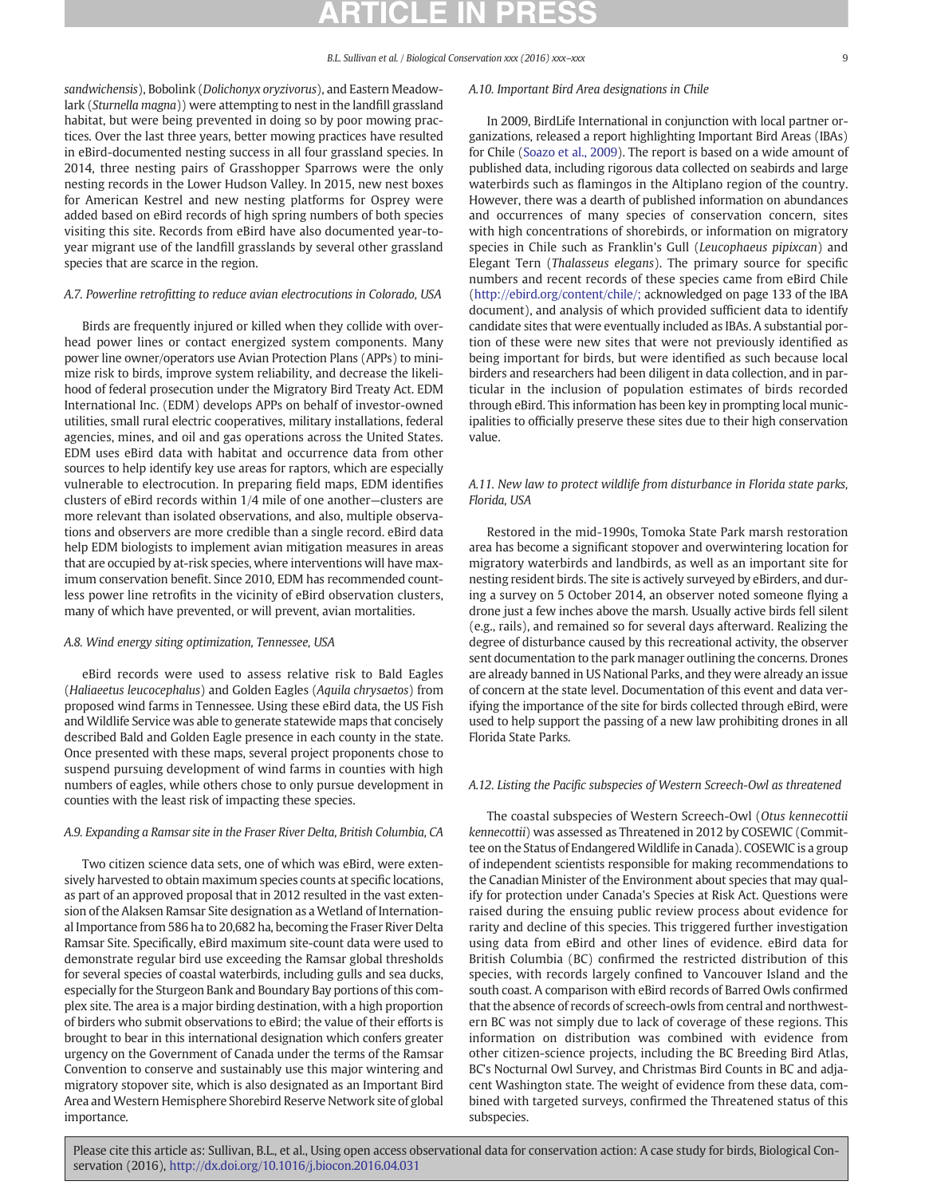sandwichensis), Bobolink (Dolichonyx oryzivorus), and Eastern Meadowlark (Sturnella magna)) were attempting to nest in the landfill grassland habitat, but were being prevented in doing so by poor mowing practices. Over the last three years, better mowing practices have resulted in eBird-documented nesting success in all four grassland species. In 2014, three nesting pairs of Grasshopper Sparrows were the only nesting records in the Lower Hudson Valley. In 2015, new nest boxes for American Kestrel and new nesting platforms for Osprey were added based on eBird records of high spring numbers of both species visiting this site. Records from eBird have also documented year-toyear migrant use of the landfill grasslands by several other grassland species that are scarce in the region.

### A.7. Powerline retrofitting to reduce avian electrocutions in Colorado, USA

Birds are frequently injured or killed when they collide with overhead power lines or contact energized system components. Many power line owner/operators use Avian Protection Plans (APPs) to minimize risk to birds, improve system reliability, and decrease the likelihood of federal prosecution under the Migratory Bird Treaty Act. EDM International Inc. (EDM) develops APPs on behalf of investor-owned utilities, small rural electric cooperatives, military installations, federal agencies, mines, and oil and gas operations across the United States. EDM uses eBird data with habitat and occurrence data from other sources to help identify key use areas for raptors, which are especially vulnerable to electrocution. In preparing field maps, EDM identifies clusters of eBird records within 1/4 mile of one another—clusters are more relevant than isolated observations, and also, multiple observations and observers are more credible than a single record. eBird data help EDM biologists to implement avian mitigation measures in areas that are occupied by at-risk species, where interventions will have maximum conservation benefit. Since 2010, EDM has recommended countless power line retrofits in the vicinity of eBird observation clusters, many of which have prevented, or will prevent, avian mortalities.

#### A.8. Wind energy siting optimization, Tennessee, USA

eBird records were used to assess relative risk to Bald Eagles (Haliaeetus leucocephalus) and Golden Eagles (Aquila chrysaetos) from proposed wind farms in Tennessee. Using these eBird data, the US Fish and Wildlife Service was able to generate statewide maps that concisely described Bald and Golden Eagle presence in each county in the state. Once presented with these maps, several project proponents chose to suspend pursuing development of wind farms in counties with high numbers of eagles, while others chose to only pursue development in counties with the least risk of impacting these species.

#### A.9. Expanding a Ramsar site in the Fraser River Delta, British Columbia, CA

Two citizen science data sets, one of which was eBird, were extensively harvested to obtain maximum species counts at specific locations, as part of an approved proposal that in 2012 resulted in the vast extension of the Alaksen Ramsar Site designation as a Wetland of International Importance from 586 ha to 20,682 ha, becoming the Fraser River Delta Ramsar Site. Specifically, eBird maximum site-count data were used to demonstrate regular bird use exceeding the Ramsar global thresholds for several species of coastal waterbirds, including gulls and sea ducks, especially for the Sturgeon Bank and Boundary Bay portions of this complex site. The area is a major birding destination, with a high proportion of birders who submit observations to eBird; the value of their efforts is brought to bear in this international designation which confers greater urgency on the Government of Canada under the terms of the Ramsar Convention to conserve and sustainably use this major wintering and migratory stopover site, which is also designated as an Important Bird Area and Western Hemisphere Shorebird Reserve Network site of global importance.

### A.10. Important Bird Area designations in Chile

In 2009, BirdLife International in conjunction with local partner organizations, released a report highlighting Important Bird Areas (IBAs) for Chile (Soazo et al., 2009). The report is based on a wide amount of published data, including rigorous data collected on seabirds and large waterbirds such as flamingos in the Altiplano region of the country. However, there was a dearth of published information on abundances and occurrences of many species of conservation concern, sites with high concentrations of shorebirds, or information on migratory species in Chile such as Franklin's Gull (Leucophaeus pipixcan) and Elegant Tern (Thalasseus elegans). The primary source for specific numbers and recent records of these species came from eBird Chile (http://ebird.org/content/chile/; acknowledged on page 133 of the IBA document), and analysis of which provided sufficient data to identify candidate sites that were eventually included as IBAs. A substantial portion of these were new sites that were not previously identified as being important for birds, but were identified as such because local birders and researchers had been diligent in data collection, and in particular in the inclusion of population estimates of birds recorded through eBird. This information has been key in prompting local municipalities to officially preserve these sites due to their high conservation value.

### A.11. New law to protect wildlife from disturbance in Florida state parks, Florida, USA

Restored in the mid-1990s, Tomoka State Park marsh restoration area has become a significant stopover and overwintering location for migratory waterbirds and landbirds, as well as an important site for nesting resident birds. The site is actively surveyed by eBirders, and during a survey on 5 October 2014, an observer noted someone flying a drone just a few inches above the marsh. Usually active birds fell silent (e.g., rails), and remained so for several days afterward. Realizing the degree of disturbance caused by this recreational activity, the observer sent documentation to the park manager outlining the concerns. Drones are already banned in US National Parks, and they were already an issue of concern at the state level. Documentation of this event and data verifying the importance of the site for birds collected through eBird, were used to help support the passing of a new law prohibiting drones in all Florida State Parks.

#### A.12. Listing the Pacific subspecies of Western Screech-Owl as threatened

The coastal subspecies of Western Screech-Owl (Otus kennecottii kennecottii) was assessed as Threatened in 2012 by COSEWIC (Committee on the Status of EndangeredWildlife in Canada). COSEWIC is a group of independent scientists responsible for making recommendations to the Canadian Minister of the Environment about species that may qualify for protection under Canada's Species at Risk Act. Questions were raised during the ensuing public review process about evidence for rarity and decline of this species. This triggered further investigation using data from eBird and other lines of evidence. eBird data for British Columbia (BC) confirmed the restricted distribution of this species, with records largely confined to Vancouver Island and the south coast. A comparison with eBird records of Barred Owls confirmed that the absence of records of screech-owls from central and northwestern BC was not simply due to lack of coverage of these regions. This information on distribution was combined with evidence from other citizen-science projects, including the BC Breeding Bird Atlas, BC's Nocturnal Owl Survey, and Christmas Bird Counts in BC and adjacent Washington state. The weight of evidence from these data, combined with targeted surveys, confirmed the Threatened status of this subspecies.